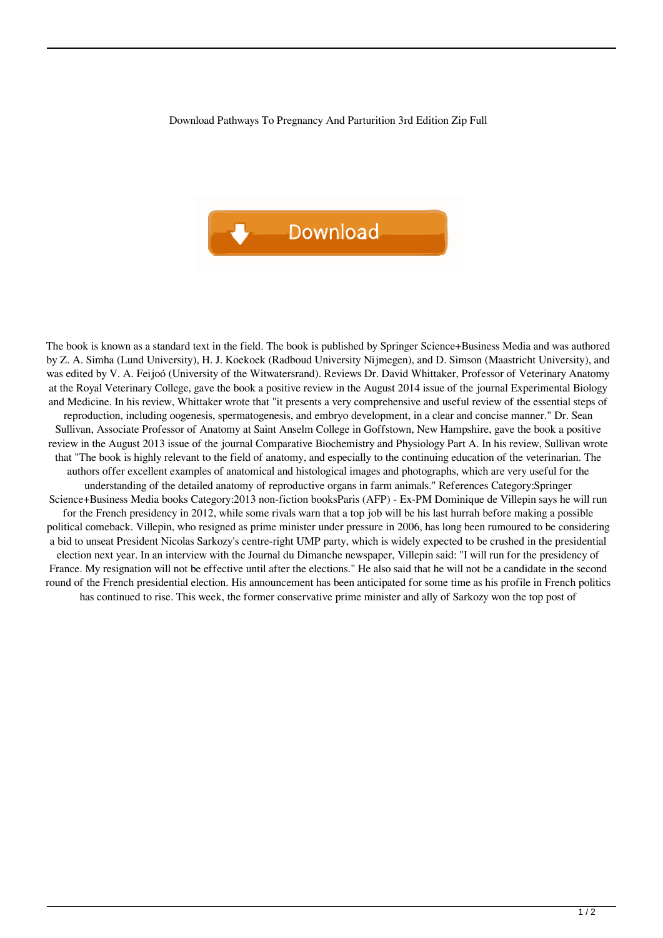Download Pathways To Pregnancy And Parturition 3rd Edition Zip Full



The book is known as a standard text in the field. The book is published by Springer Science+Business Media and was authored by Z. A. Simha (Lund University), H. J. Koekoek (Radboud University Nijmegen), and D. Simson (Maastricht University), and was edited by V. A. Feijoó (University of the Witwatersrand). Reviews Dr. David Whittaker, Professor of Veterinary Anatomy at the Royal Veterinary College, gave the book a positive review in the August 2014 issue of the journal Experimental Biology and Medicine. In his review, Whittaker wrote that "it presents a very comprehensive and useful review of the essential steps of reproduction, including oogenesis, spermatogenesis, and embryo development, in a clear and concise manner." Dr. Sean Sullivan, Associate Professor of Anatomy at Saint Anselm College in Goffstown, New Hampshire, gave the book a positive review in the August 2013 issue of the journal Comparative Biochemistry and Physiology Part A. In his review, Sullivan wrote that "The book is highly relevant to the field of anatomy, and especially to the continuing education of the veterinarian. The authors offer excellent examples of anatomical and histological images and photographs, which are very useful for the understanding of the detailed anatomy of reproductive organs in farm animals." References Category:Springer Science+Business Media books Category:2013 non-fiction booksParis (AFP) - Ex-PM Dominique de Villepin says he will run for the French presidency in 2012, while some rivals warn that a top job will be his last hurrah before making a possible political comeback. Villepin, who resigned as prime minister under pressure in 2006, has long been rumoured to be considering a bid to unseat President Nicolas Sarkozy's centre-right UMP party, which is widely expected to be crushed in the presidential election next year. In an interview with the Journal du Dimanche newspaper, Villepin said: "I will run for the presidency of France. My resignation will not be effective until after the elections." He also said that he will not be a candidate in the second round of the French presidential election. His announcement has been anticipated for some time as his profile in French politics has continued to rise. This week, the former conservative prime minister and ally of Sarkozy won the top post of